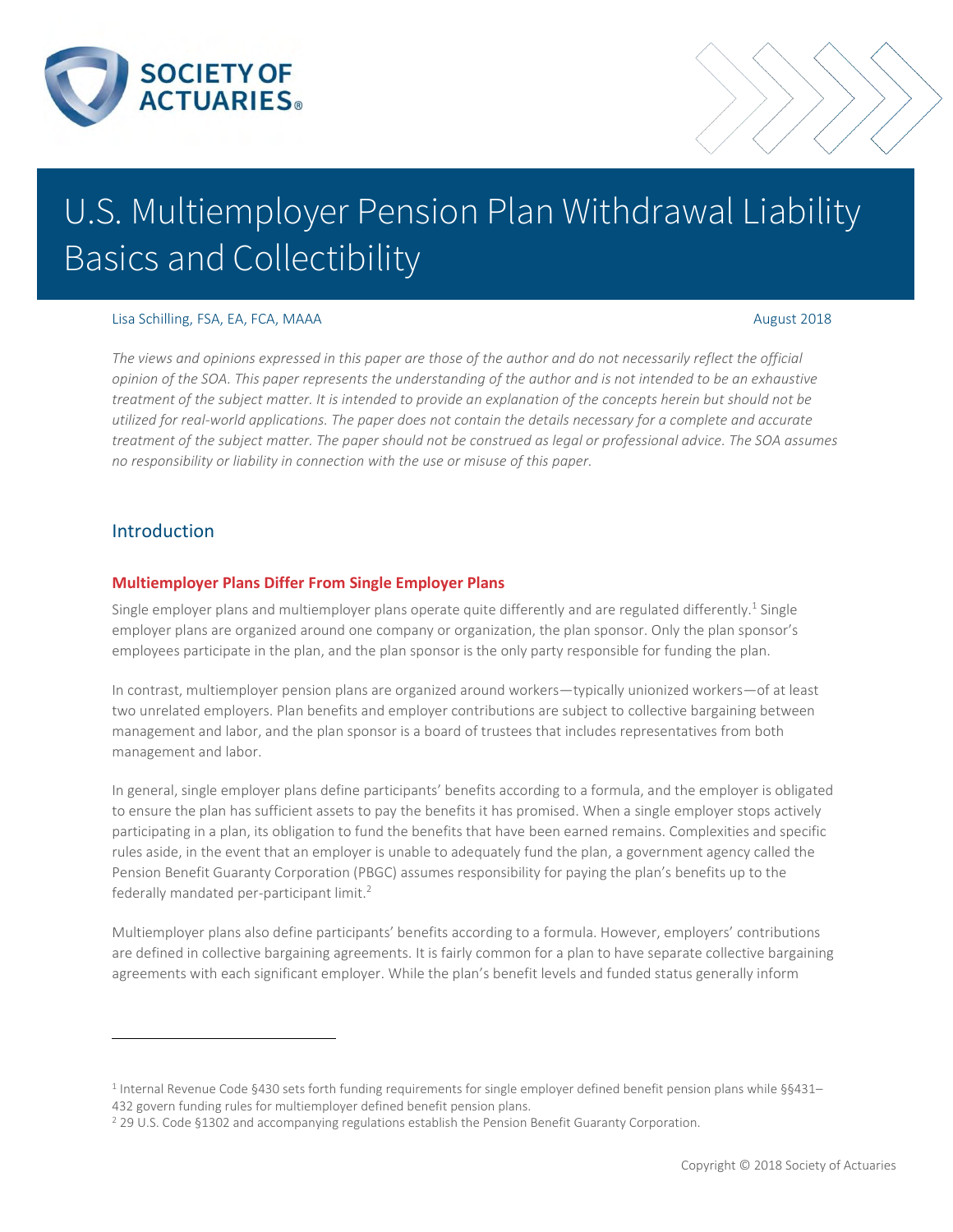

# U.S. Multiemployer Pension Plan Withdrawal Liability Basics and Collectibility

### Lisa Schilling, FSA, EA, FCA, MAAA August 2018

*The views and opinions expressed in this paper are those of the author and do not necessarily reflect the official opinion of the SOA. This paper represents the understanding of the author and is not intended to be an exhaustive treatment of the subject matter. It is intended to provide an explanation of the concepts herein but should not be utilized for real-world applications. The paper does not contain the details necessary for a complete and accurate treatment of the subject matter. The paper should not be construed as legal or professional advice. The SOA assumes no responsibility or liability in connection with the use or misuse of this paper.* 

### Introduction

 $\overline{a}$ 

### **Multiemployer Plans Differ From Single Employer Plans**

Single employer plans and multiemployer plans operate quite differently and are regulated differently.<sup>1</sup> Single employer plans are organized around one company or organization, the plan sponsor. Only the plan sponsor's employees participate in the plan, and the plan sponsor is the only party responsible for funding the plan.

In contrast, multiemployer pension plans are organized around workers—typically unionized workers—of at least two unrelated employers. Plan benefits and employer contributions are subject to collective bargaining between management and labor, and the plan sponsor is a board of trustees that includes representatives from both management and labor.

In general, single employer plans define participants' benefits according to a formula, and the employer is obligated to ensure the plan has sufficient assets to pay the benefits it has promised. When a single employer stops actively participating in a plan, its obligation to fund the benefits that have been earned remains. Complexities and specific rules aside, in the event that an employer is unable to adequately fund the plan, a government agency called the Pension Benefit Guaranty Corporation (PBGC) assumes responsibility for paying the plan's benefits up to the federally mandated per-participant limit.<sup>2</sup>

Multiemployer plans also define participants' benefits according to a formula. However, employers' contributions are defined in collective bargaining agreements. It is fairly common for a plan to have separate collective bargaining agreements with each significant employer. While the plan's benefit levels and funded status generally inform

<sup>1</sup> Internal Revenue Code §430 sets forth funding requirements for single employer defined benefit pension plans while §§431– 432 govern funding rules for multiemployer defined benefit pension plans.

<sup>&</sup>lt;sup>2</sup> 29 U.S. Code §1302 and accompanying regulations establish the Pension Benefit Guaranty Corporation.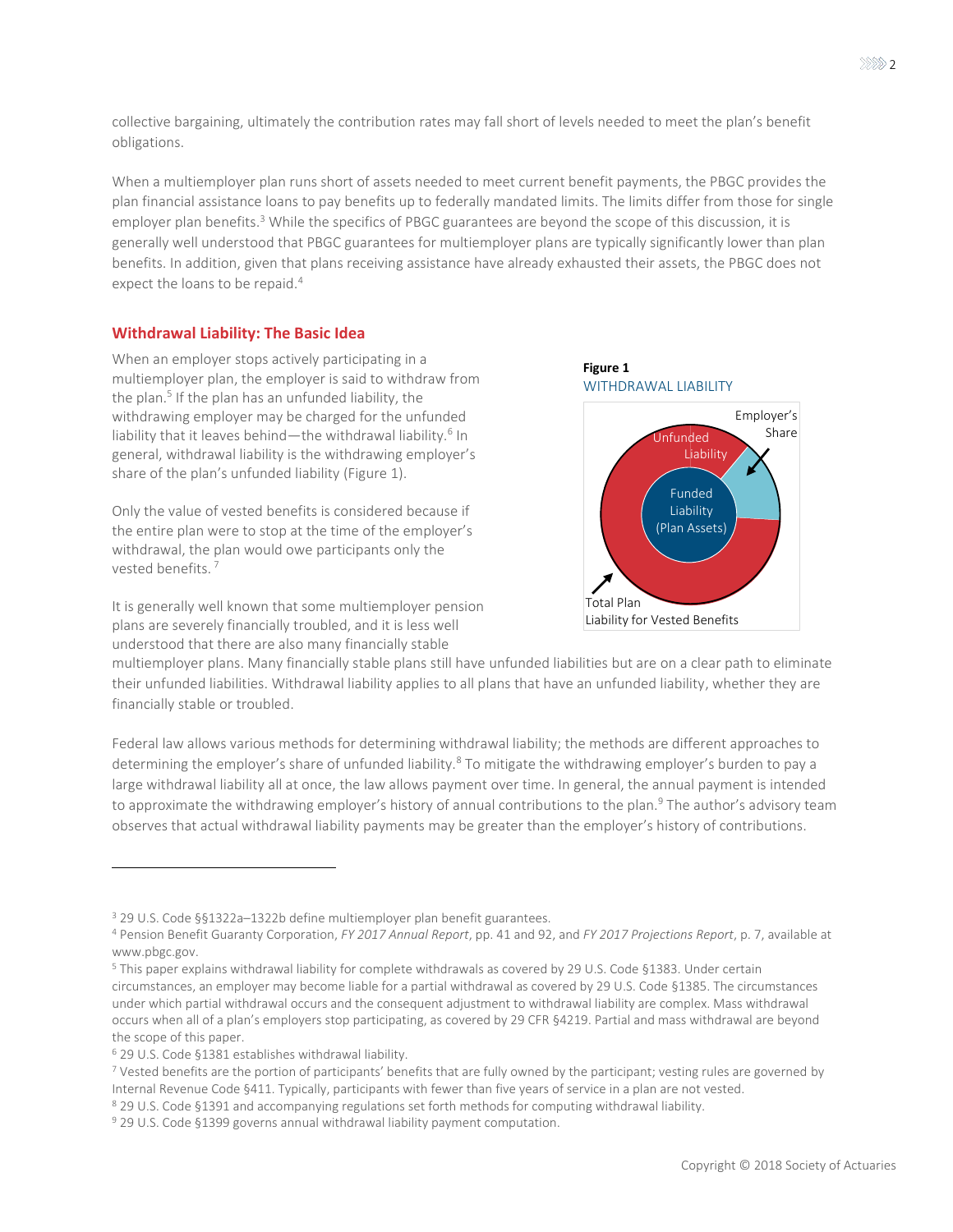collective bargaining, ultimately the contribution rates may fall short of levels needed to meet the plan's benefit obligations.

When a multiemployer plan runs short of assets needed to meet current benefit payments, the PBGC provides the plan financial assistance loans to pay benefits up to federally mandated limits. The limits differ from those for single employer plan benefits.<sup>3</sup> While the specifics of PBGC guarantees are beyond the scope of this discussion, it is generally well understood that PBGC guarantees for multiemployer plans are typically significantly lower than plan benefits. In addition, given that plans receiving assistance have already exhausted their assets, the PBGC does not expect the loans to be repaid.<sup>4</sup>

### **Withdrawal Liability: The Basic Idea**

When an employer stops actively participating in a multiemployer plan, the employer is said to withdraw from the plan.<sup>5</sup> If the plan has an unfunded liability, the withdrawing employer may be charged for the unfunded liability that it leaves behind—the withdrawal liability.<sup>6</sup> In general, withdrawal liability is the withdrawing employer's share of the plan's unfunded liability [\(Figure 1\)](#page-1-0).

Only the value of vested benefits is considered because if the entire plan were to stop at the time of the employer's withdrawal, the plan would owe participants only the vested benefits. <sup>7</sup>

It is generally well known that some multiemployer pension plans are severely financially troubled, and it is less well understood that there are also many financially stable

<span id="page-1-0"></span>

multiemployer plans. Many financially stable plans still have unfunded liabilities but are on a clear path to eliminate their unfunded liabilities. Withdrawal liability applies to all plans that have an unfunded liability, whether they are financially stable or troubled.

Federal law allows various methods for determining withdrawal liability; the methods are different approaches to determining the employer's share of unfunded liability.<sup>8</sup> To mitigate the withdrawing employer's burden to pay a large withdrawal liability all at once, the law allows payment over time. In general, the annual payment is intended to approximate the withdrawing employer's history of annual contributions to the plan.<sup>9</sup> The author's advisory team observes that actual withdrawal liability payments may be greater than the employer's history of contributions.

<sup>3</sup> 29 U.S. Code §§1322a–1322b define multiemployer plan benefit guarantees.

<sup>4</sup> Pension Benefit Guaranty Corporation, *FY 2017 Annual Report*, pp. 41 and 92, and *FY 2017 Projections Report*, p. 7, available at www.pbgc.gov.

<sup>5</sup> This paper explains withdrawal liability for complete withdrawals as covered by 29 U.S. Code §1383. Under certain circumstances, an employer may become liable for a partial withdrawal as covered by 29 U.S. Code §1385. The circumstances under which partial withdrawal occurs and the consequent adjustment to withdrawal liability are complex. Mass withdrawal occurs when all of a plan's employers stop participating, as covered by 29 CFR §4219. Partial and mass withdrawal are beyond the scope of this paper.

<sup>6</sup> 29 U.S. Code §1381 establishes withdrawal liability.

<sup>7</sup> Vested benefits are the portion of participants' benefits that are fully owned by the participant; vesting rules are governed by Internal Revenue Code §411. Typically, participants with fewer than five years of service in a plan are not vested.

<sup>&</sup>lt;sup>8</sup> 29 U.S. Code §1391 and accompanying regulations set forth methods for computing withdrawal liability.

<sup>&</sup>lt;sup>9</sup> 29 U.S. Code §1399 governs annual withdrawal liability payment computation.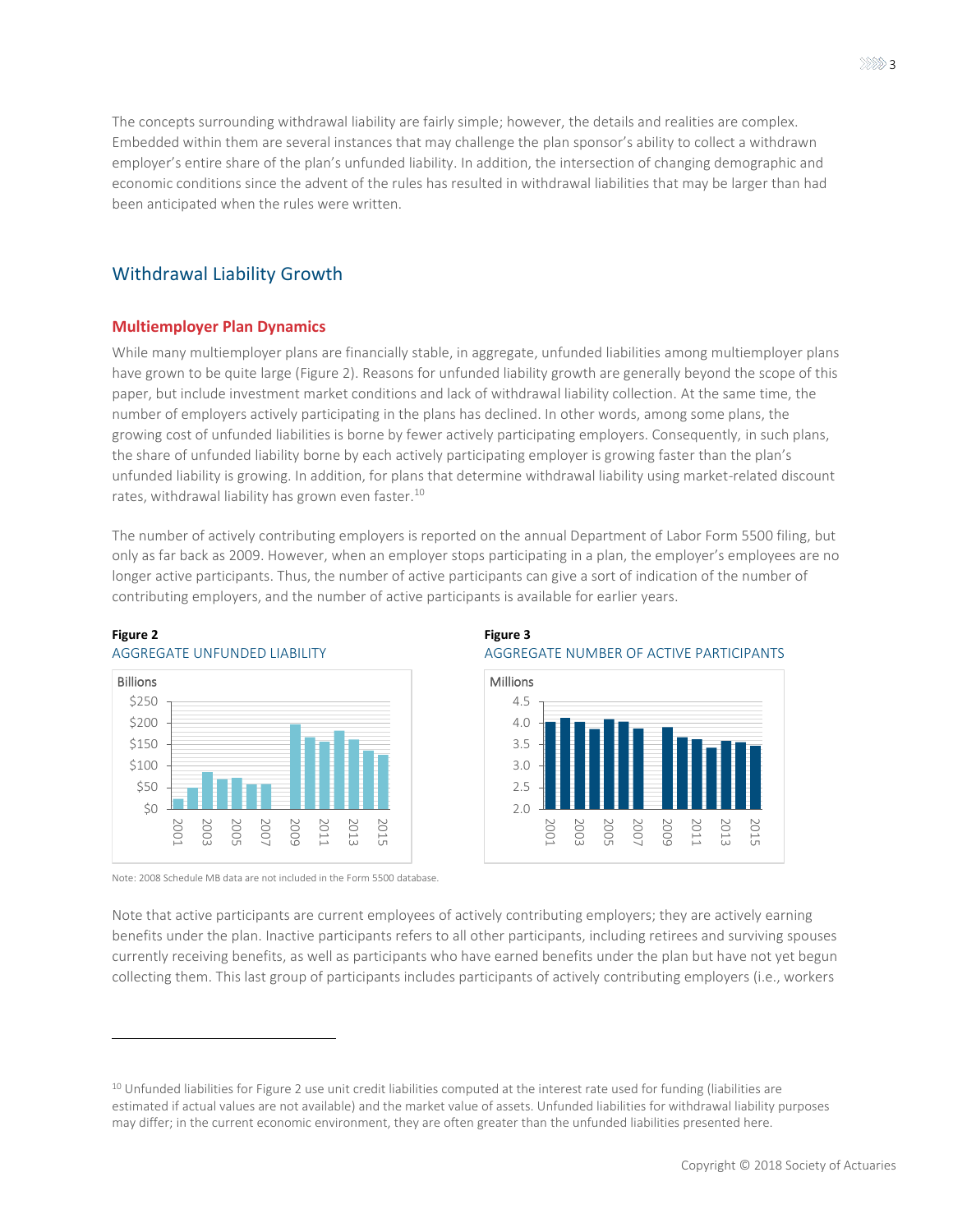The concepts surrounding withdrawal liability are fairly simple; however, the details and realities are complex. Embedded within them are several instances that may challenge the plan sponsor's ability to collect a withdrawn employer's entire share of the plan's unfunded liability. In addition, the intersection of changing demographic and economic conditions since the advent of the rules has resulted in withdrawal liabilities that may be larger than had been anticipated when the rules were written.

### Withdrawal Liability Growth

### **Multiemployer Plan Dynamics**

While many multiemployer plans are financially stable, in aggregate, unfunded liabilities among multiemployer plans have grown to be quite large [\(Figure 2\)](#page-2-0). Reasons for unfunded liability growth are generally beyond the scope of this paper, but include investment market conditions and lack of withdrawal liability collection. At the same time, the number of employers actively participating in the plans has declined. In other words, among some plans, the growing cost of unfunded liabilities is borne by fewer actively participating employers. Consequently, in such plans, the share of unfunded liability borne by each actively participating employer is growing faster than the plan's unfunded liability is growing. In addition, for plans that determine withdrawal liability using market-related discount rates, withdrawal liability has grown even faster.<sup>10</sup>

The number of actively contributing employers is reported on the annual Department of Labor Form 5500 filing, but only as far back as 2009. However, when an employer stops participating in a plan, the employer's employees are no longer active participants. Thus, the number of active participants can give a sort of indication of the number of contributing employers, and the number of active participants is available for earlier years.



#### <span id="page-2-0"></span>**Figure 2** AGGREGATE UNFUNDED LIABILITY

 $\overline{a}$ 

Note: 2008 Schedule MB data are not included in the Form 5500 database.

### <span id="page-2-1"></span>**Figure 3** AGGREGATE NUMBER OF ACTIVE PARTICIPANTS



Note that active participants are current employees of actively contributing employers; they are actively earning benefits under the plan. Inactive participants refers to all other participants, including retirees and surviving spouses currently receiving benefits, as well as participants who have earned benefits under the plan but have not yet begun collecting them. This last group of participants includes participants of actively contributing employers (i.e., workers

<sup>&</sup>lt;sup>10</sup> Unfunded liabilities fo[r Figure 2 u](#page-2-0)se unit credit liabilities computed at the interest rate used for funding (liabilities are estimated if actual values are not available) and the market value of assets. Unfunded liabilities for withdrawal liability purposes may differ; in the current economic environment, they are often greater than the unfunded liabilities presented here.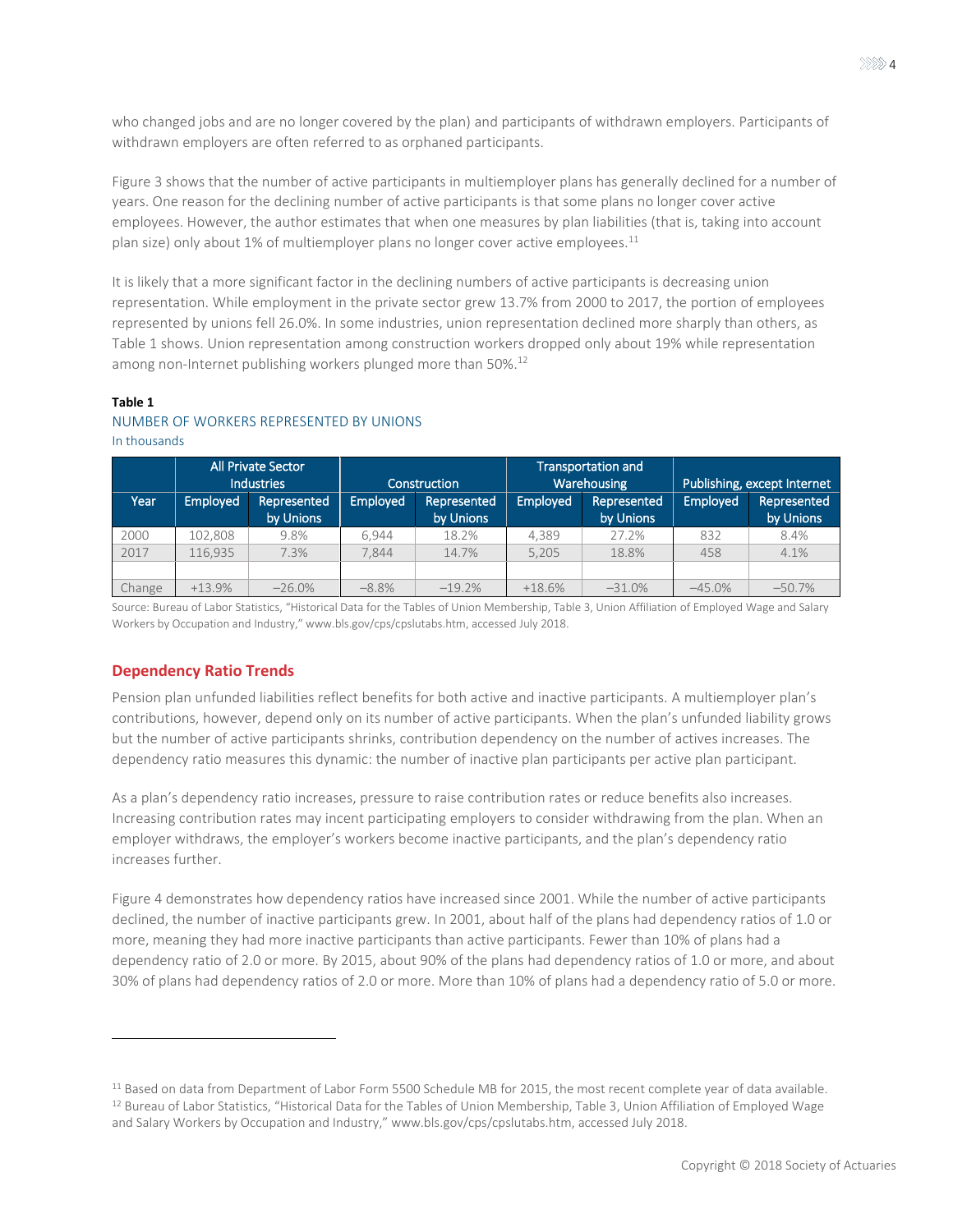who changed jobs and are no longer covered by the plan) and participants of withdrawn employers. Participants of withdrawn employers are often referred to as orphaned participants.

[Figure 3 s](#page-2-1)hows that the number of active participants in multiemployer plans has generally declined for a number of years. One reason for the declining number of active participants is that some plans no longer cover active employees. However, the author estimates that when one measures by plan liabilities (that is, taking into account plan size) only about 1% of multiemployer plans no longer cover active employees. $^{11}$ 

It is likely that a more significant factor in the declining numbers of active participants is decreasing union representation. While employment in the private sector grew 13.7% from 2000 to 2017, the portion of employees represented by unions fell 26.0%. In some industries, union representation declined more sharply than others, as [Table 1](#page-3-0) shows. Union representation among construction workers dropped only about 19% while representation among non-Internet publishing workers plunged more than 50%.<sup>12</sup>

### <span id="page-3-0"></span>**Table 1**

 $\overline{a}$ 

### NUMBER OF WORKERS REPRESENTED BY UNIONS

|        | <b>All Private Sector</b><br><b>Industries</b> |                          | Construction    |                          | <b>Transportation and</b><br>Warehousing |                          | Publishing, except Internet |                          |
|--------|------------------------------------------------|--------------------------|-----------------|--------------------------|------------------------------------------|--------------------------|-----------------------------|--------------------------|
| Year   | <b>Employed</b>                                | Represented<br>by Unions | <b>Employed</b> | Represented<br>by Unions | Employed                                 | Represented<br>by Unions | Employed                    | Represented<br>by Unions |
| 2000   | 102.808                                        | 9.8%                     | 6.944           | 18.2%                    | 4.389                                    | 27.2%                    | 832                         | 8.4%                     |
| 2017   | 116.935                                        | 7.3%                     | 7.844           | 14.7%                    | 5,205                                    | 18.8%                    | 458                         | 4.1%                     |
|        |                                                |                          |                 |                          |                                          |                          |                             |                          |
| Change | $+13.9%$                                       | $-26.0%$                 | $-8.8\%$        | $-19.2%$                 | $+18.6%$                                 | $-31.0%$                 | $-45.0%$                    | $-50.7%$                 |

### In thousands

Source: Bureau of Labor Statistics, "Historical Data for the Tables of Union Membership, Table 3, Union Affiliation of Employed Wage and Salary Workers by Occupation and Industry," www.bls.gov/cps/cpslutabs.htm, accessed July 2018.

### **Dependency Ratio Trends**

Pension plan unfunded liabilities reflect benefits for both active and inactive participants. A multiemployer plan's contributions, however, depend only on its number of active participants. When the plan's unfunded liability grows but the number of active participants shrinks, contribution dependency on the number of actives increases. The dependency ratio measures this dynamic: the number of inactive plan participants per active plan participant.

As a plan's dependency ratio increases, pressure to raise contribution rates or reduce benefits also increases. Increasing contribution rates may incent participating employers to consider withdrawing from the plan. When an employer withdraws, the employer's workers become inactive participants, and the plan's dependency ratio increases further.

[Figure 4 d](#page-4-0)emonstrates how dependency ratios have increased since 2001. While the number of active participants declined, the number of inactive participants grew. In 2001, about half of the plans had dependency ratios of 1.0 or more, meaning they had more inactive participants than active participants. Fewer than 10% of plans had a dependency ratio of 2.0 or more. By 2015, about 90% of the plans had dependency ratios of 1.0 or more, and about 30% of plans had dependency ratios of 2.0 or more. More than 10% of plans had a dependency ratio of 5.0 or more.

<sup>&</sup>lt;sup>11</sup> Based on data from Department of Labor Form 5500 Schedule MB for 2015, the most recent complete year of data available. <sup>12</sup> Bureau of Labor Statistics, "Historical Data for the Tables of Union Membership, Table 3, Union Affiliation of Employed Wage and Salary Workers by Occupation and Industry," www.bls.gov/cps/cpslutabs.htm, accessed July 2018.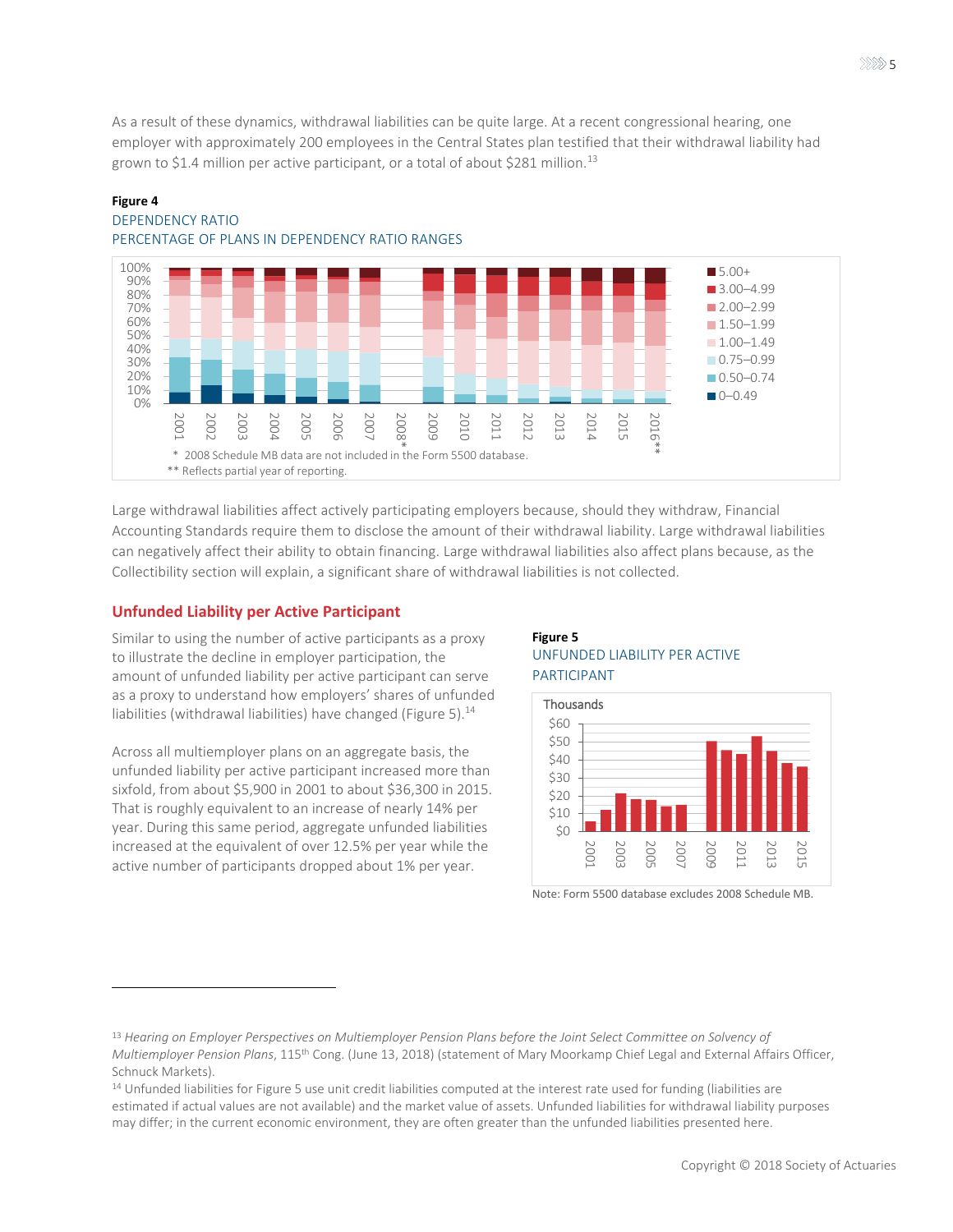As a result of these dynamics, withdrawal liabilities can be quite large. At a recent congressional hearing, one employer with approximately 200 employees in the Central States plan testified that their withdrawal liability had grown to \$1.4 million per active participant, or a total of about \$281 million.<sup>13</sup>



### <span id="page-4-0"></span>**Figure 4**  DEPENDENCY RATIO PERCENTAGE OF PLANS IN DEPENDENCY RATIO RANGES

Large withdrawal liabilities affect actively participating employers because, should they withdraw, Financial Accounting Standards require them to disclose the amount of their withdrawal liability. Large withdrawal liabilities can negatively affect their ability to obtain financing. Large withdrawal liabilities also affect plans because, as the [Collectibility](#page-6-0) section will explain, a significant share of withdrawal liabilities is not collected.

### **Unfunded Liability per Active Participant**

 $\overline{a}$ 

Similar to using the number of active participants as a proxy to illustrate the decline in employer participation, the amount of unfunded liability per active participant can serve as a proxy to understand how employers' shares of unfunded liabilities (withdrawal liabilities) have changed [\(Figure 5\)](#page-4-1).<sup>14</sup>

Across all multiemployer plans on an aggregate basis, the unfunded liability per active participant increased more than sixfold, from about \$5,900 in 2001 to about \$36,300 in 2015. That is roughly equivalent to an increase of nearly 14% per year. During this same period, aggregate unfunded liabilities increased at the equivalent of over 12.5% per year while the active number of participants dropped about 1% per year.

### <span id="page-4-1"></span>**Figure 5** UNFUNDED LIABILITY PER ACTIVE PARTICIPANT



Note: Form 5500 database excludes 2008 Schedule MB.

<sup>13</sup> *Hearing on Employer Perspectives on Multiemployer Pension Plans before the Joint Select Committee on Solvency of Multiemployer Pension Plans*, 115th Cong. (June 13, 2018) (statement of Mary Moorkamp Chief Legal and External Affairs Officer, Schnuck Markets).

<sup>&</sup>lt;sup>14</sup> Unfunded liabilities fo[r Figure 5 u](#page-4-1)se unit credit liabilities computed at the interest rate used for funding (liabilities are estimated if actual values are not available) and the market value of assets. Unfunded liabilities for withdrawal liability purposes may differ; in the current economic environment, they are often greater than the unfunded liabilities presented here.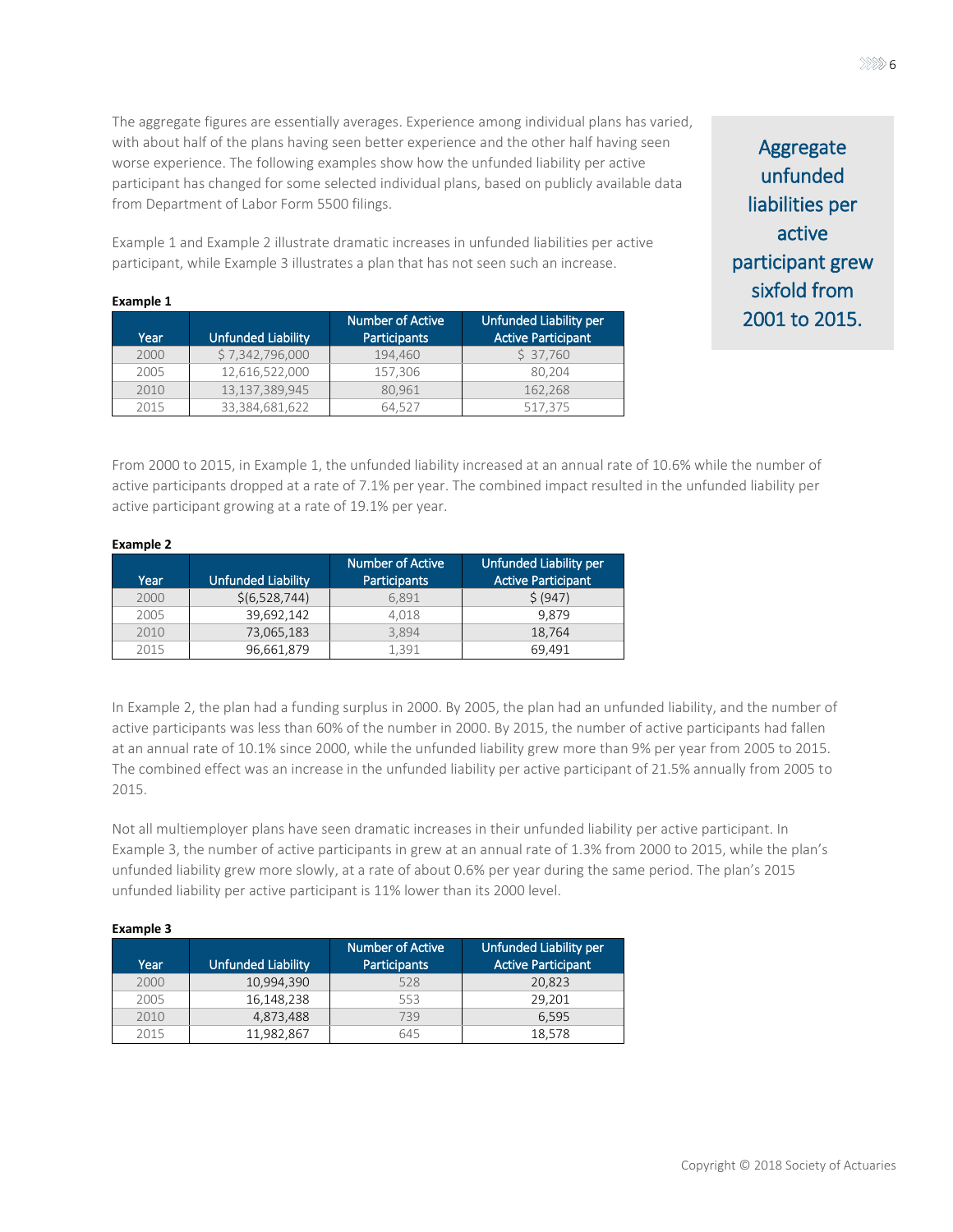The aggregate figures are essentially averages. Experience among individual plans has varied, with about half of the plans having seen better experience and the other half having seen worse experience. The following examples show how the unfunded liability per active participant has changed for some selected individual plans, based on publicly available data from Department of Labor Form 5500 filings.

[Example 1](#page-5-0) and [Example 2 i](#page-5-1)llustrate dramatic increases in unfunded liabilities per active participant, while [Example 3 i](#page-5-2)llustrates a plan that has not seen such an increase.

| Aggregate        |
|------------------|
| unfunded         |
| liabilities per  |
| active           |
| participant grew |
| sixfold from     |
| 2001 to 2015.    |

#### <span id="page-5-0"></span>**Example 1**

| Year | <b>Unfunded Liability</b> | <b>Number of Active</b><br><b>Participants</b> | Unfunded Liability per<br><b>Active Participant</b> |
|------|---------------------------|------------------------------------------------|-----------------------------------------------------|
| 2000 | \$7,342,796,000           | 194,460                                        | \$37,760                                            |
| 2005 | 12,616,522,000            | 157,306                                        | 80.204                                              |
| 2010 | 13,137,389,945            | 80.961                                         | 162.268                                             |
| 2015 | 33,384,681,622            | 64.527                                         | 517.375                                             |

From 2000 to 2015, i[n Example 1,](#page-5-0) the unfunded liability increased at an annual rate of 10.6% while the number of active participants dropped at a rate of 7.1% per year. The combined impact resulted in the unfunded liability per active participant growing at a rate of 19.1% per year.

#### <span id="page-5-1"></span>**Example 2**

| Year | <b>Unfunded Liability</b> | Number of Active<br><b>Participants</b> | Unfunded Liability per<br><b>Active Participant</b> |
|------|---------------------------|-----------------------------------------|-----------------------------------------------------|
| 2000 | \$(6,528,744)             | 6.891                                   | \$ (947)                                            |
| 2005 | 39,692,142                | 4.018                                   | 9.879                                               |
| 2010 | 73,065,183                | 3.894                                   | 18.764                                              |
| 2015 | 96,661,879                | 1.391                                   | 69.491                                              |

In [Example 2,](#page-5-1) the plan had a funding surplus in 2000. By 2005, the plan had an unfunded liability, and the number of active participants was less than 60% of the number in 2000. By 2015, the number of active participants had fallen at an annual rate of 10.1% since 2000, while the unfunded liability grew more than 9% per year from 2005 to 2015. The combined effect was an increase in the unfunded liability per active participant of 21.5% annually from 2005 to 2015.

Not all multiemployer plans have seen dramatic increases in their unfunded liability per active participant. In [Example 3,](#page-5-2) the number of active participants in grew at an annual rate of 1.3% from 2000 to 2015, while the plan's unfunded liability grew more slowly, at a rate of about 0.6% per year during the same period. The plan's 2015 unfunded liability per active participant is 11% lower than its 2000 level.

<span id="page-5-2"></span>

| <b>Example 3</b> |                           |                                         |                                                     |  |  |  |
|------------------|---------------------------|-----------------------------------------|-----------------------------------------------------|--|--|--|
| Year             | <b>Unfunded Liability</b> | Number of Active<br><b>Participants</b> | Unfunded Liability per<br><b>Active Participant</b> |  |  |  |
| 2000             | 10,994,390                | 528                                     | 20.823                                              |  |  |  |
| 2005             | 16,148,238                | 553                                     | 29.201                                              |  |  |  |
| 2010             | 4,873,488                 | 739                                     | 6.595                                               |  |  |  |
| 2015             | 11,982,867                | 645                                     | 18,578                                              |  |  |  |

#### $\gg \gg 6$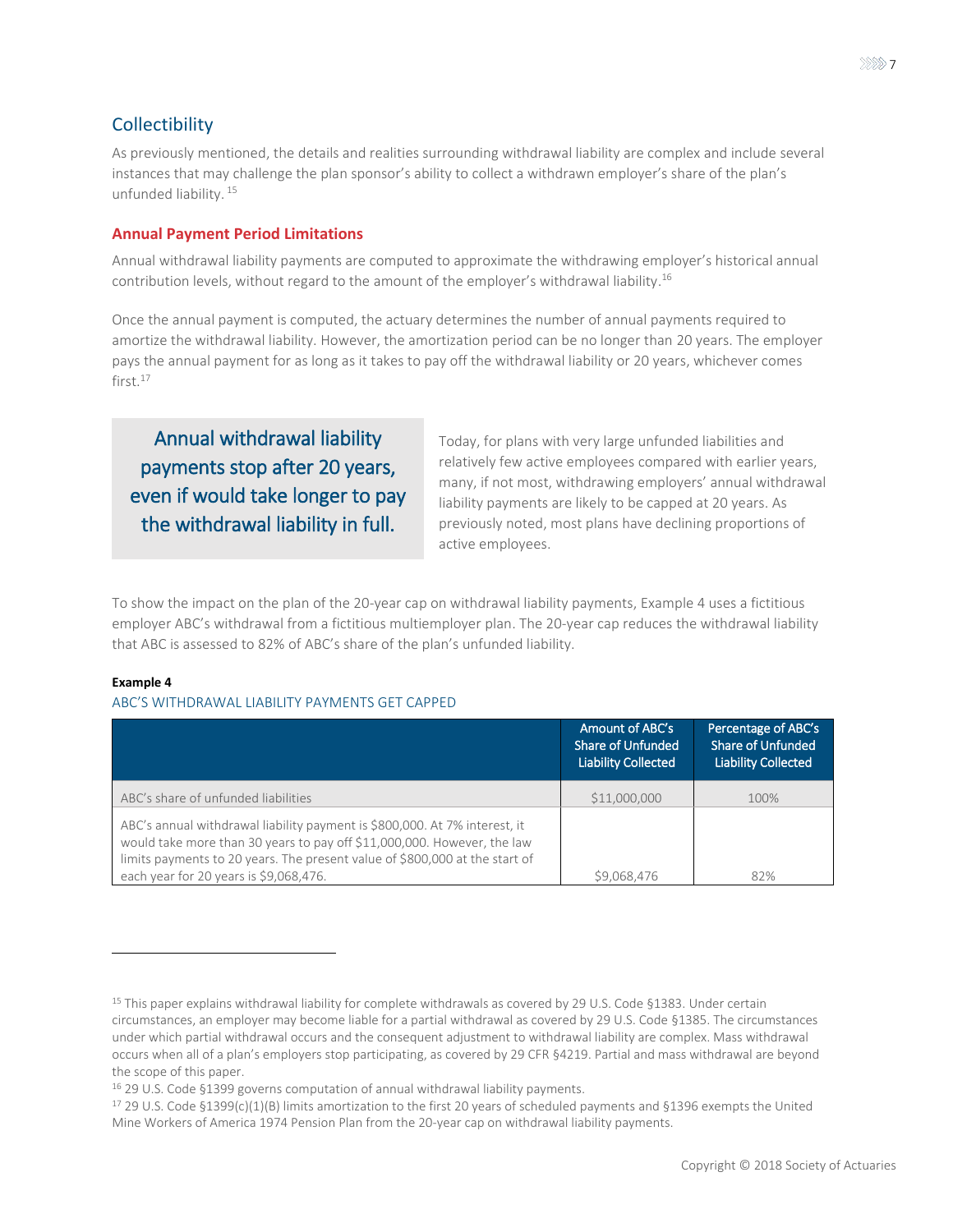### <span id="page-6-0"></span>Collectibility

As previously mentioned, the details and realities surrounding withdrawal liability are complex and include several instances that may challenge the plan sponsor's ability to collect a withdrawn employer's share of the plan's unfunded liability. <sup>15</sup>

### **Annual Payment Period Limitations**

Annual withdrawal liability payments are computed to approximate the withdrawing employer's historical annual contribution levels, without regard to the amount of the employer's withdrawal liability. 16

Once the annual payment is computed, the actuary determines the number of annual payments required to amortize the withdrawal liability. However, the amortization period can be no longer than 20 years. The employer pays the annual payment for as long as it takes to pay off the withdrawal liability or 20 years, whichever comes first<sup>17</sup>

Annual withdrawal liability payments stop after 20 years, even if would take longer to pay the withdrawal liability in full.

Today, for plans with very large unfunded liabilities and relatively few active employees compared with earlier years, many, if not most, withdrawing employers' annual withdrawal liability payments are likely to be capped at 20 years. As previously noted, most plans have declining proportions of active employees.

To show the impact on the plan of the 20-year cap on withdrawal liability payments, [Example 4](#page-6-1) uses a fictitious employer ABC's withdrawal from a fictitious multiemployer plan. The 20-year cap reduces the withdrawal liability that ABC is assessed to 82% of ABC's share of the plan's unfunded liability.

### <span id="page-6-1"></span>**Example 4**

### ABC'S WITHDRAWAL LIABILITY PAYMENTS GET CAPPED

|                                                                                                                                                                                                                                      | Amount of ABC's<br>Share of Unfunded<br><b>Liability Collected</b> | Percentage of ABC's<br><b>Share of Unfunded</b><br><b>Liability Collected</b> |
|--------------------------------------------------------------------------------------------------------------------------------------------------------------------------------------------------------------------------------------|--------------------------------------------------------------------|-------------------------------------------------------------------------------|
| ABC's share of unfunded liabilities                                                                                                                                                                                                  | \$11,000,000                                                       | 100%                                                                          |
| ABC's annual withdrawal liability payment is \$800,000. At 7% interest, it<br>would take more than 30 years to pay off \$11,000,000. However, the law<br>limits payments to 20 years. The present value of \$800,000 at the start of |                                                                    |                                                                               |
| each year for 20 years is \$9,068,476.                                                                                                                                                                                               | \$9.068.476                                                        | 82%                                                                           |

<sup>&</sup>lt;sup>15</sup> This paper explains withdrawal liability for complete withdrawals as covered by 29 U.S. Code §1383. Under certain circumstances, an employer may become liable for a partial withdrawal as covered by 29 U.S. Code §1385. The circumstances under which partial withdrawal occurs and the consequent adjustment to withdrawal liability are complex. Mass withdrawal occurs when all of a plan's employers stop participating, as covered by 29 CFR §4219. Partial and mass withdrawal are beyond the scope of this paper.

<sup>16</sup> 29 U.S. Code §1399 governs computation of annual withdrawal liability payments.

 $17$  29 U.S. Code §1399(c)(1)(B) limits amortization to the first 20 years of scheduled payments and §1396 exempts the United Mine Workers of America 1974 Pension Plan from the 20-year cap on withdrawal liability payments.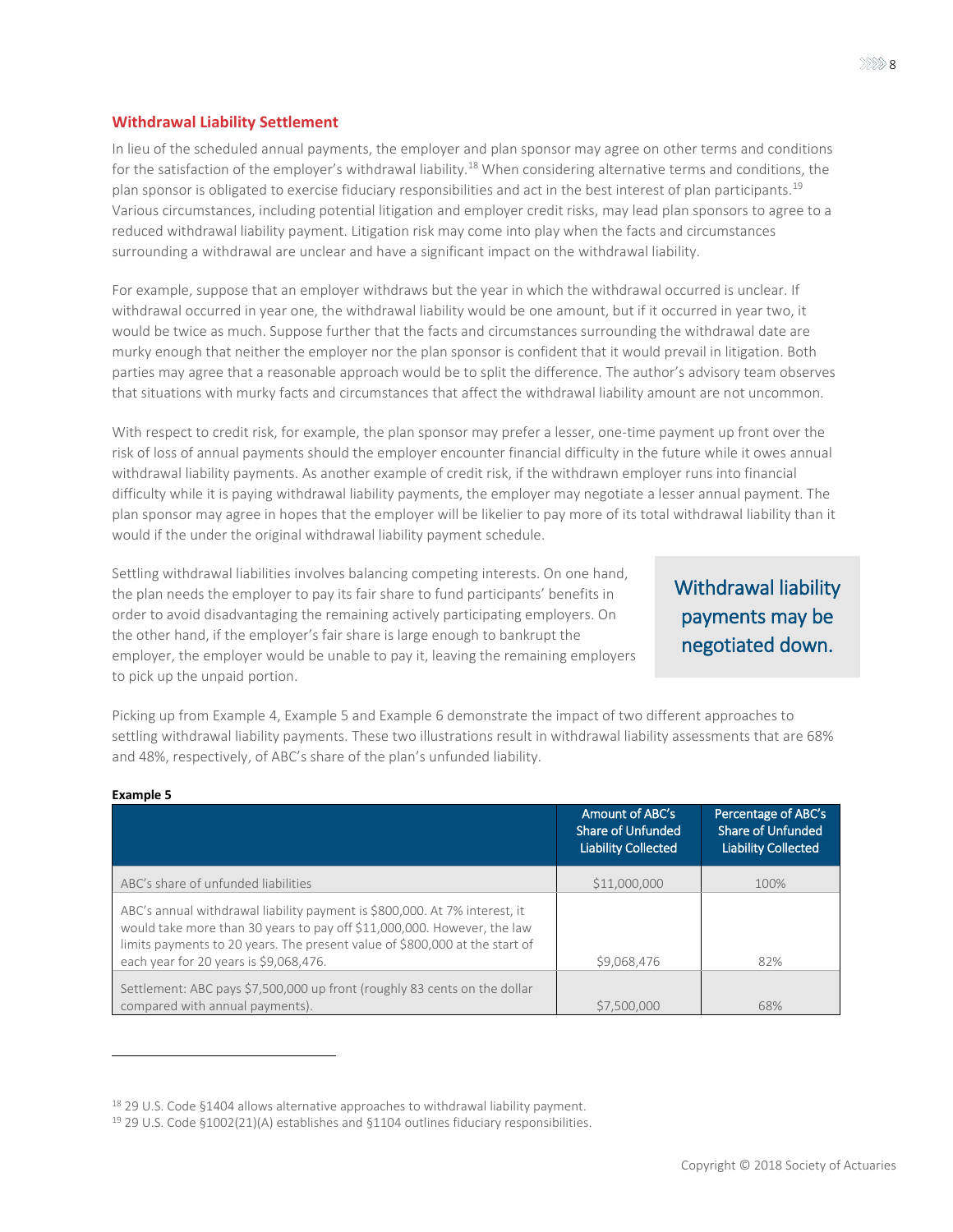### **Withdrawal Liability Settlement**

In lieu of the scheduled annual payments, the employer and plan sponsor may agree on other terms and conditions for the satisfaction of the employer's withdrawal liability.<sup>18</sup> When considering alternative terms and conditions, the plan sponsor is obligated to exercise fiduciary responsibilities and act in the best interest of plan participants.<sup>19</sup> Various circumstances, including potential litigation and employer credit risks, may lead plan sponsors to agree to a reduced withdrawal liability payment. Litigation risk may come into play when the facts and circumstances surrounding a withdrawal are unclear and have a significant impact on the withdrawal liability.

For example, suppose that an employer withdraws but the year in which the withdrawal occurred is unclear. If withdrawal occurred in year one, the withdrawal liability would be one amount, but if it occurred in year two, it would be twice as much. Suppose further that the facts and circumstances surrounding the withdrawal date are murky enough that neither the employer nor the plan sponsor is confident that it would prevail in litigation. Both parties may agree that a reasonable approach would be to split the difference. The author's advisory team observes that situations with murky facts and circumstances that affect the withdrawal liability amount are not uncommon.

With respect to credit risk, for example, the plan sponsor may prefer a lesser, one-time payment up front over the risk of loss of annual payments should the employer encounter financial difficulty in the future while it owes annual withdrawal liability payments. As another example of credit risk, if the withdrawn employer runs into financial difficulty while it is paying withdrawal liability payments, the employer may negotiate a lesser annual payment. The plan sponsor may agree in hopes that the employer will be likelier to pay more of its total withdrawal liability than it would if the under the original withdrawal liability payment schedule.

Settling withdrawal liabilities involves balancing competing interests. On one hand, the plan needs the employer to pay its fair share to fund participants' benefits in order to avoid disadvantaging the remaining actively participating employers. On the other hand, if the employer's fair share is large enough to bankrupt the employer, the employer would be unable to pay it, leaving the remaining employers to pick up the unpaid portion.

## Withdrawal liability payments may be negotiated down.

Picking up from [Example 4,](#page-6-1) [Example 5](#page-7-0) and [Example 6](#page-8-0) demonstrate the impact of two different approaches to settling withdrawal liability payments. These two illustrations result in withdrawal liability assessments that are 68% and 48%, respectively, of ABC's share of the plan's unfunded liability.

| LAGHIPIC J                                                                                                                                                                                                                                                                     |                                                                    |                                                                               |
|--------------------------------------------------------------------------------------------------------------------------------------------------------------------------------------------------------------------------------------------------------------------------------|--------------------------------------------------------------------|-------------------------------------------------------------------------------|
|                                                                                                                                                                                                                                                                                | Amount of ABC's<br>Share of Unfunded<br><b>Liability Collected</b> | Percentage of ABC's<br><b>Share of Unfunded</b><br><b>Liability Collected</b> |
| ABC's share of unfunded liabilities                                                                                                                                                                                                                                            | \$11,000,000                                                       | 100%                                                                          |
| ABC's annual withdrawal liability payment is \$800,000. At 7% interest, it<br>would take more than 30 years to pay off \$11,000,000. However, the law<br>limits payments to 20 years. The present value of \$800,000 at the start of<br>each year for 20 years is \$9,068,476. | \$9,068,476                                                        | 82%                                                                           |
| Settlement: ABC pays \$7,500,000 up front (roughly 83 cents on the dollar<br>compared with annual payments).                                                                                                                                                                   | \$7,500,000                                                        | 68%                                                                           |

#### <span id="page-7-0"></span>**Example 5**

 $\overline{a}$ 

<sup>&</sup>lt;sup>18</sup> 29 U.S. Code §1404 allows alternative approaches to withdrawal liability payment.

<sup>19</sup> 29 U.S. Code §1002(21)(A) establishes and §1104 outlines fiduciary responsibilities.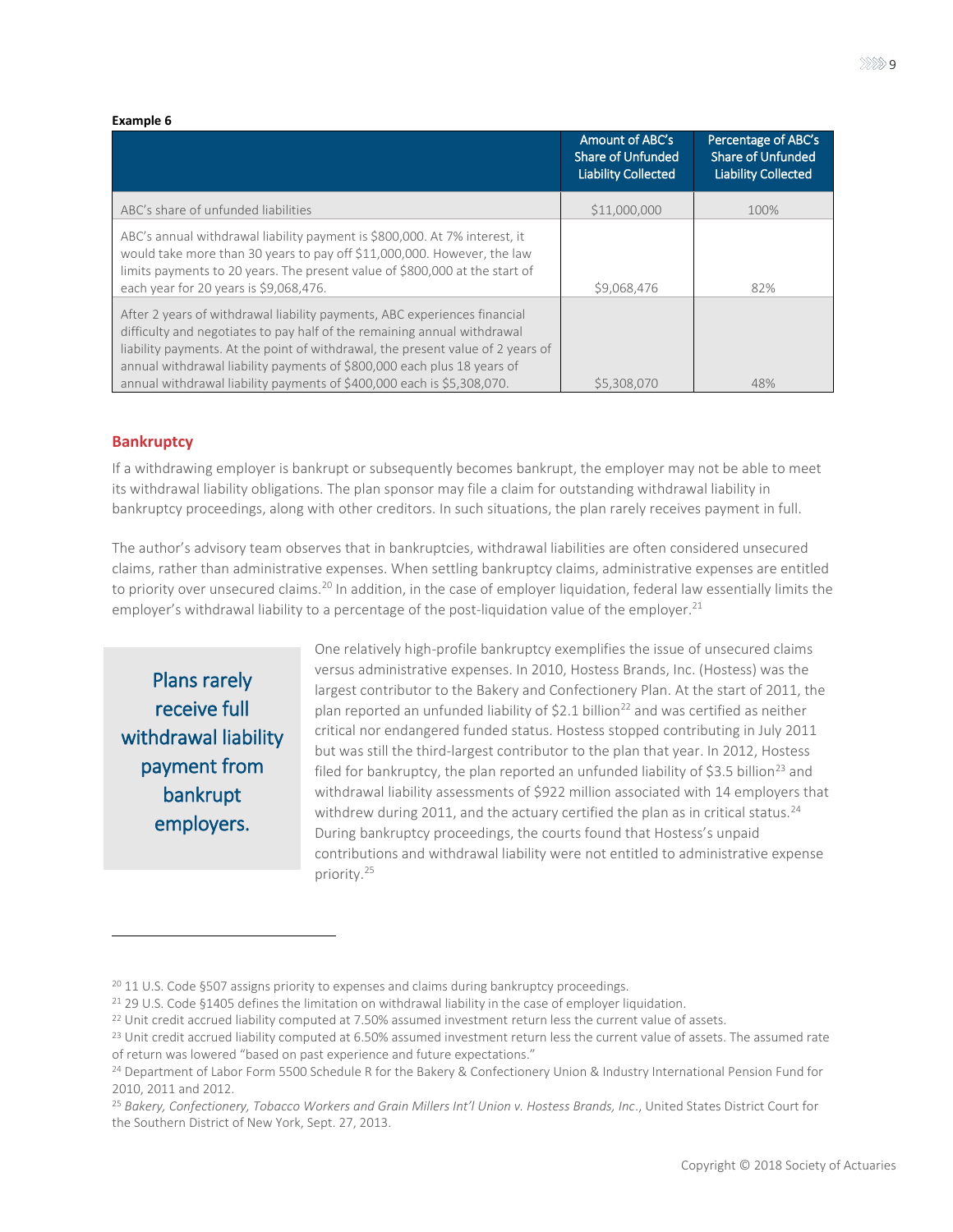#### <span id="page-8-0"></span>**Example 6**

|                                                                                                                                                                                                                                                                                                                                                                                               | Amount of ABC's<br><b>Share of Unfunded</b><br><b>Liability Collected</b> | Percentage of ABC's<br><b>Share of Unfunded</b><br><b>Liability Collected</b> |
|-----------------------------------------------------------------------------------------------------------------------------------------------------------------------------------------------------------------------------------------------------------------------------------------------------------------------------------------------------------------------------------------------|---------------------------------------------------------------------------|-------------------------------------------------------------------------------|
| ABC's share of unfunded liabilities                                                                                                                                                                                                                                                                                                                                                           | \$11,000,000                                                              | 100%                                                                          |
| ABC's annual withdrawal liability payment is \$800,000. At 7% interest, it<br>would take more than 30 years to pay off \$11,000,000. However, the law<br>limits payments to 20 years. The present value of \$800,000 at the start of<br>each year for 20 years is \$9,068,476.                                                                                                                | \$9,068,476                                                               | 82%                                                                           |
| After 2 years of withdrawal liability payments, ABC experiences financial<br>difficulty and negotiates to pay half of the remaining annual withdrawal<br>liability payments. At the point of withdrawal, the present value of 2 years of<br>annual withdrawal liability payments of \$800,000 each plus 18 years of<br>annual withdrawal liability payments of \$400,000 each is \$5,308,070. | \$5,308,070                                                               | 48%                                                                           |

### **Bankruptcy**

If a withdrawing employer is bankrupt or subsequently becomes bankrupt, the employer may not be able to meet its withdrawal liability obligations. The plan sponsor may file a claim for outstanding withdrawal liability in bankruptcy proceedings, along with other creditors. In such situations, the plan rarely receives payment in full.

The author's advisory team observes that in bankruptcies, withdrawal liabilities are often considered unsecured claims, rather than administrative expenses. When settling bankruptcy claims, administrative expenses are entitled to priority over unsecured claims.<sup>20</sup> In addition, in the case of employer liquidation, federal law essentially limits the employer's withdrawal liability to a percentage of the post-liquidation value of the employer.<sup>21</sup>

Plans rarely receive full withdrawal liability payment from bankrupt employers.

One relatively high-profile bankruptcy exemplifies the issue of unsecured claims versus administrative expenses. In 2010, Hostess Brands, Inc. (Hostess) was the largest contributor to the Bakery and Confectionery Plan. At the start of 2011, the plan reported an unfunded liability of \$2.1 billion<sup>22</sup> and was certified as neither critical nor endangered funded status. Hostess stopped contributing in July 2011 but was still the third-largest contributor to the plan that year. In 2012, Hostess filed for bankruptcy, the plan reported an unfunded liability of \$3.5 billion<sup>23</sup> and withdrawal liability assessments of \$922 million associated with 14 employers that withdrew during 2011, and the actuary certified the plan as in critical status.<sup>24</sup> During bankruptcy proceedings, the courts found that Hostess's unpaid contributions and withdrawal liability were not entitled to administrative expense priority.<sup>25</sup>

<sup>&</sup>lt;sup>20</sup> 11 U.S. Code §507 assigns priority to expenses and claims during bankruptcy proceedings.

<sup>&</sup>lt;sup>21</sup> 29 U.S. Code §1405 defines the limitation on withdrawal liability in the case of employer liquidation.

<sup>&</sup>lt;sup>22</sup> Unit credit accrued liability computed at 7.50% assumed investment return less the current value of assets.

<sup>&</sup>lt;sup>23</sup> Unit credit accrued liability computed at 6.50% assumed investment return less the current value of assets. The assumed rate of return was lowered "based on past experience and future expectations."

<sup>&</sup>lt;sup>24</sup> Department of Labor Form 5500 Schedule R for the Bakery & Confectionery Union & Industry International Pension Fund for 2010, 2011 and 2012.

<sup>25</sup> *Bakery, Confectionery, Tobacco Workers and Grain Millers Int'l Union v. Hostess Brands, Inc*., United States District Court for the Southern District of New York, Sept. 27, 2013.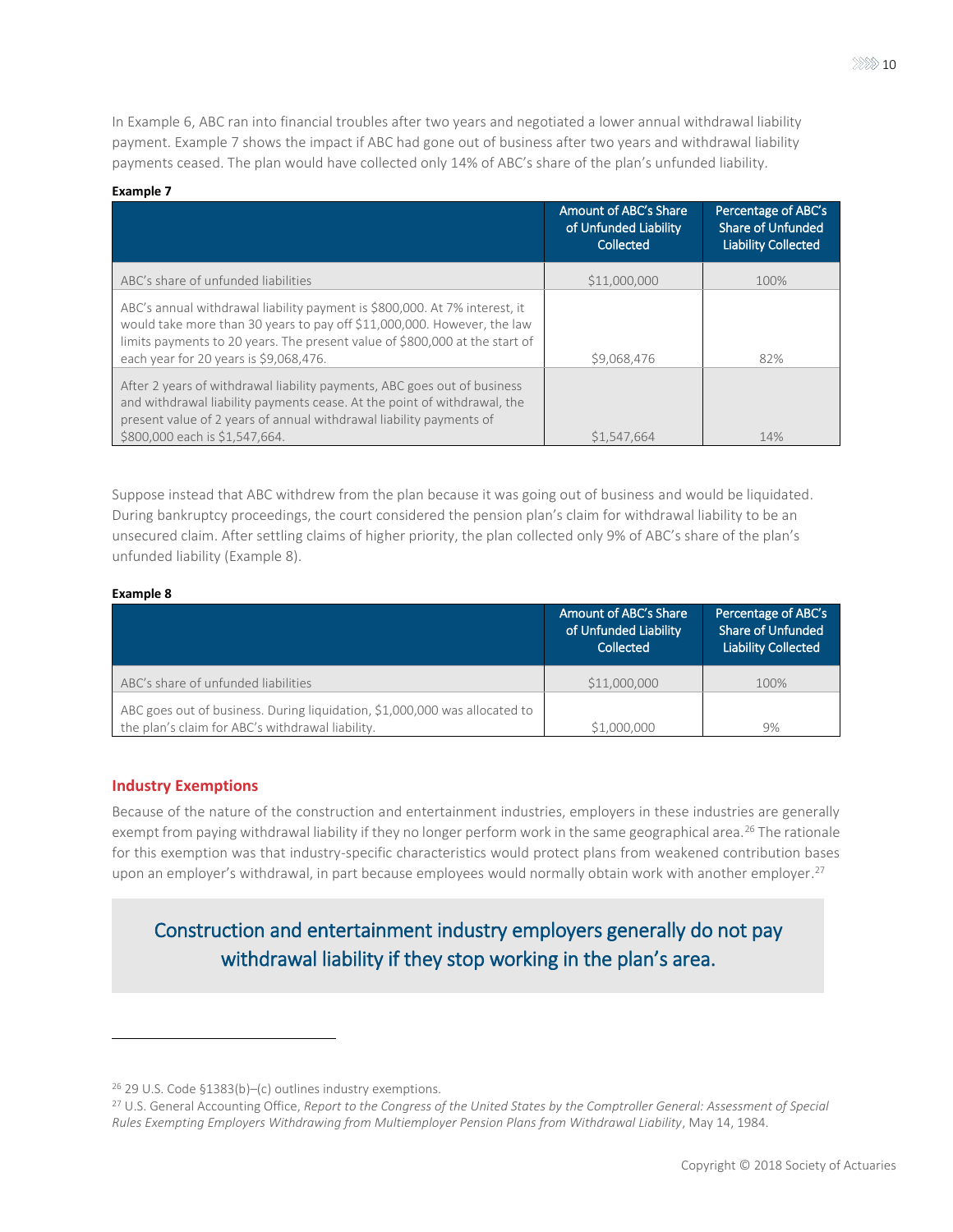In [Example 6,](#page-8-0) ABC ran into financial troubles after two years and negotiated a lower annual withdrawal liability payment. [Example 7 s](#page-9-0)hows the impact if ABC had gone out of business after two years and withdrawal liability payments ceased. The plan would have collected only 14% of ABC's share of the plan's unfunded liability.

### <span id="page-9-0"></span>**Example 7**

|                                                                                                                                                                                                                                                                                | Amount of ABC's Share<br>of Unfunded Liability<br>Collected | Percentage of ABC's<br><b>Share of Unfunded</b><br><b>Liability Collected</b> |
|--------------------------------------------------------------------------------------------------------------------------------------------------------------------------------------------------------------------------------------------------------------------------------|-------------------------------------------------------------|-------------------------------------------------------------------------------|
| ABC's share of unfunded liabilities                                                                                                                                                                                                                                            | \$11,000,000                                                | 100%                                                                          |
| ABC's annual withdrawal liability payment is \$800,000. At 7% interest, it<br>would take more than 30 years to pay off \$11,000,000. However, the law<br>limits payments to 20 years. The present value of \$800,000 at the start of<br>each year for 20 years is \$9,068,476. | \$9,068,476                                                 | 82%                                                                           |
| After 2 years of withdrawal liability payments, ABC goes out of business<br>and withdrawal liability payments cease. At the point of withdrawal, the<br>present value of 2 years of annual withdrawal liability payments of<br>\$800,000 each is \$1.547.664.                  | \$1.547.664                                                 | 14%                                                                           |

Suppose instead that ABC withdrew from the plan because it was going out of business and would be liquidated. During bankruptcy proceedings, the court considered the pension plan's claim for withdrawal liability to be an unsecured claim. After settling claims of higher priority, the plan collected only 9% of ABC's share of the plan's unfunded liability [\(Example 8\)](#page-9-1).

### <span id="page-9-1"></span>**Example 8**

 $\overline{a}$ 

|                                                                                                                                | Amount of ABC's Share<br>of Unfunded Liability<br>Collected | Percentage of ABC's<br><b>Share of Unfunded</b><br><b>Liability Collected</b> |
|--------------------------------------------------------------------------------------------------------------------------------|-------------------------------------------------------------|-------------------------------------------------------------------------------|
| ABC's share of unfunded liabilities                                                                                            | \$11,000,000                                                | 100%                                                                          |
| ABC goes out of business. During liquidation, \$1,000,000 was allocated to<br>the plan's claim for ABC's withdrawal liability. | \$1,000,000                                                 | 9%                                                                            |

### **Industry Exemptions**

Because of the nature of the construction and entertainment industries, employers in these industries are generally exempt from paying withdrawal liability if they no longer perform work in the same geographical area.<sup>26</sup> The rationale for this exemption was that industry-specific characteristics would protect plans from weakened contribution bases upon an employer's withdrawal, in part because employees would normally obtain work with another employer.<sup>27</sup>

### Construction and entertainment industry employers generally do not pay withdrawal liability if they stop working in the plan's area.

<sup>26</sup> 29 U.S. Code §1383(b)–(c) outlines industry exemptions.

<sup>27</sup> U.S. General Accounting Office, *Report to the Congress of the United States by the Comptroller General: Assessment of Special Rules Exempting Employers Withdrawing from Multiemployer Pension Plans from Withdrawal Liability*, May 14, 1984.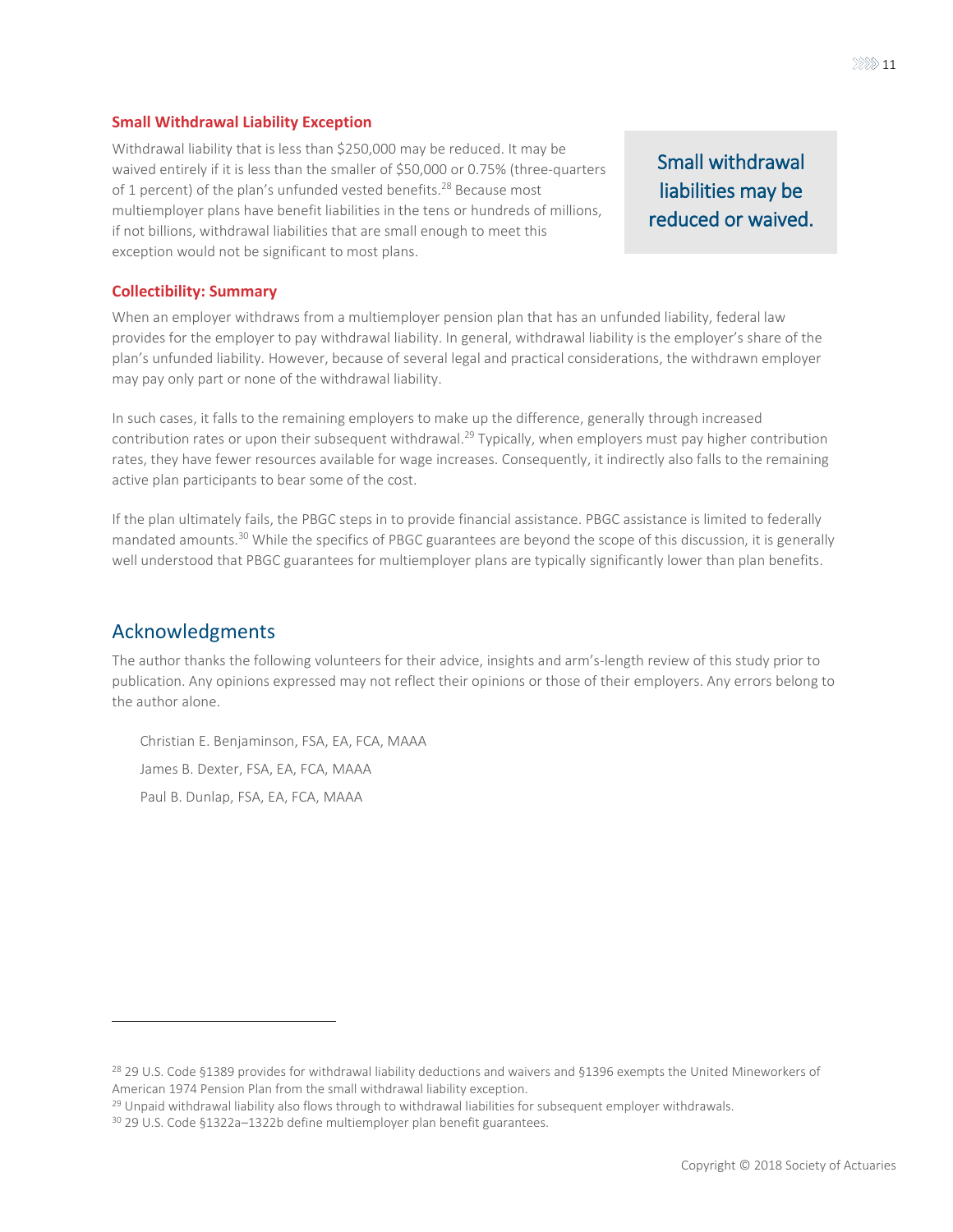### **Small Withdrawal Liability Exception**

Withdrawal liability that is less than \$250,000 may be reduced. It may be waived entirely if it is less than the smaller of \$50,000 or 0.75% (three-quarters of 1 percent) of the plan's unfunded vested benefits.<sup>28</sup> Because most multiemployer plans have benefit liabilities in the tens or hundreds of millions, if not billions, withdrawal liabilities that are small enough to meet this exception would not be significant to most plans.

### Small withdrawal liabilities may be reduced or waived.

### **Collectibility: Summary**

When an employer withdraws from a multiemployer pension plan that has an unfunded liability, federal law provides for the employer to pay withdrawal liability. In general, withdrawal liability is the employer's share of the plan's unfunded liability. However, because of several legal and practical considerations, the withdrawn employer may pay only part or none of the withdrawal liability.

In such cases, it falls to the remaining employers to make up the difference, generally through increased contribution rates or upon their subsequent withdrawal.<sup>29</sup> Typically, when employers must pay higher contribution rates, they have fewer resources available for wage increases. Consequently, it indirectly also falls to the remaining active plan participants to bear some of the cost.

If the plan ultimately fails, the PBGC steps in to provide financial assistance. PBGC assistance is limited to federally mandated amounts.<sup>30</sup> While the specifics of PBGC guarantees are beyond the scope of this discussion, it is generally well understood that PBGC guarantees for multiemployer plans are typically significantly lower than plan benefits.

### Acknowledgments

The author thanks the following volunteers for their advice, insights and arm's-length review of this study prior to publication. Any opinions expressed may not reflect their opinions or those of their employers. Any errors belong to the author alone.

Christian E. Benjaminson, FSA, EA, FCA, MAAA James B. Dexter, FSA, EA, FCA, MAAA Paul B. Dunlap, FSA, EA, FCA, MAAA

<sup>&</sup>lt;sup>28</sup> 29 U.S. Code §1389 provides for withdrawal liability deductions and waivers and §1396 exempts the United Mineworkers of American 1974 Pension Plan from the small withdrawal liability exception.

<sup>&</sup>lt;sup>29</sup> Unpaid withdrawal liability also flows through to withdrawal liabilities for subsequent employer withdrawals.

<sup>30</sup> 29 U.S. Code §1322a–1322b define multiemployer plan benefit guarantees.